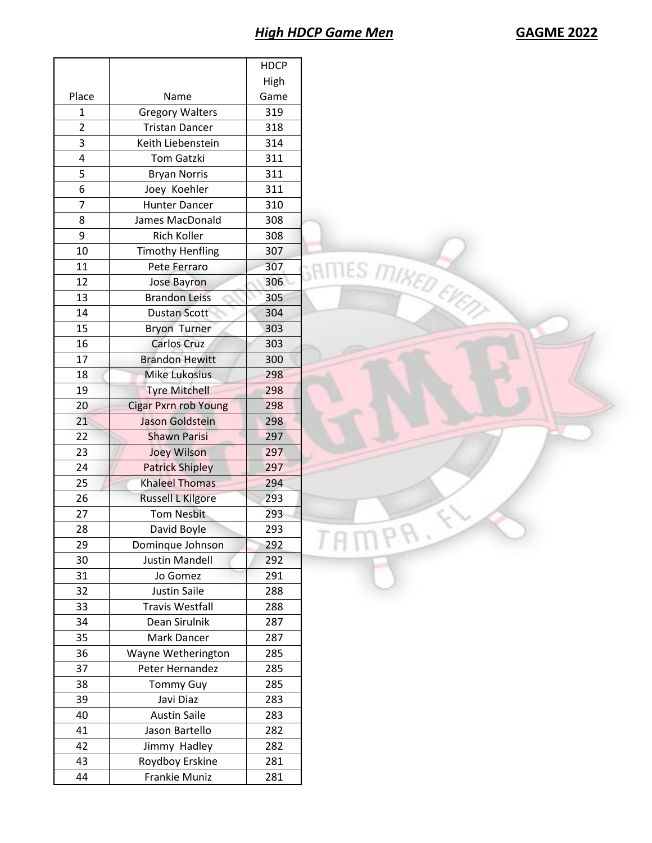# *High HDCP Game Men* **GAGME 2022**

|                |                             | <b>HDCP</b> |                      |  |
|----------------|-----------------------------|-------------|----------------------|--|
|                |                             | High        |                      |  |
| Place          | Name                        | Game        |                      |  |
| $\mathbf{1}$   | <b>Gregory Walters</b>      | 319         |                      |  |
| $\overline{2}$ | <b>Tristan Dancer</b>       | 318         |                      |  |
| 3              | Keith Liebenstein           | 314         |                      |  |
| 4              | <b>Tom Gatzki</b>           | 311         |                      |  |
| 5              | <b>Bryan Norris</b>         | 311         |                      |  |
| 6              | Joey Koehler                | 311         |                      |  |
| 7              | <b>Hunter Dancer</b>        | 310         |                      |  |
| 8              | James MacDonald             | 308         |                      |  |
| 9              | Rich Koller                 | 308         |                      |  |
| 10             | <b>Timothy Henfling</b>     | 307         |                      |  |
| 11             | Pete Ferraro                | 307         |                      |  |
| 12             | Jose Bayron                 | 306         |                      |  |
| 13             | <b>Brandon Leiss</b>        | 305         |                      |  |
| 14             | <b>Dustan Scott</b>         | 304         | GRITTLES MIKED EVERY |  |
| 15             | <b>Bryon Turner</b>         | 303         |                      |  |
| 16             | <b>Carlos Cruz</b>          | 303         |                      |  |
| 17             | <b>Brandon Hewitt</b>       | 300         |                      |  |
| 18             | <b>Mike Lukosius</b>        | 298         |                      |  |
| 19             | <b>Tyre Mitchell</b>        | 298         |                      |  |
| 20             | <b>Cigar Pxrn rob Young</b> | 298         |                      |  |
| 21             | Jason Goldstein             | 298         |                      |  |
| 22             | <b>Shawn Parisi</b>         | 297         |                      |  |
| 23             | <b>Joey Wilson</b>          | 297         |                      |  |
| 24             | <b>Patrick Shipley</b>      | 297         |                      |  |
| 25             | <b>Khaleel Thomas</b>       | 294         |                      |  |
| 26             | <b>Russell L Kilgore</b>    | 293         |                      |  |
| 27             | <b>Tom Nesbit</b>           | 293         |                      |  |
| 28             | David Boyle                 | 293         |                      |  |
| 29             | Dominque Johnson            | 292         |                      |  |
| 30             | <b>Justin Mandell</b>       | 292         |                      |  |
| 31             | Jo Gomez                    | 291         |                      |  |
| 32             | Justin Saile                | 288         |                      |  |
| 33             | <b>Travis Westfall</b>      | 288         |                      |  |
| 34             | Dean Sirulnik               | 287         |                      |  |
| 35             | Mark Dancer                 | 287         |                      |  |
| 36             | Wayne Wetherington          | 285         |                      |  |
| 37             | Peter Hernandez             | 285         |                      |  |
| 38             | <b>Tommy Guy</b>            | 285         |                      |  |
| 39             | Javi Diaz                   | 283         |                      |  |
| 40             | <b>Austin Saile</b>         | 283         |                      |  |
| 41             | Jason Bartello              | 282         |                      |  |
| 42             | Jimmy Hadley                | 282         |                      |  |
| 43             | Roydboy Erskine             | 281         |                      |  |
| 44             | Frankie Muniz               | 281         |                      |  |
|                |                             |             |                      |  |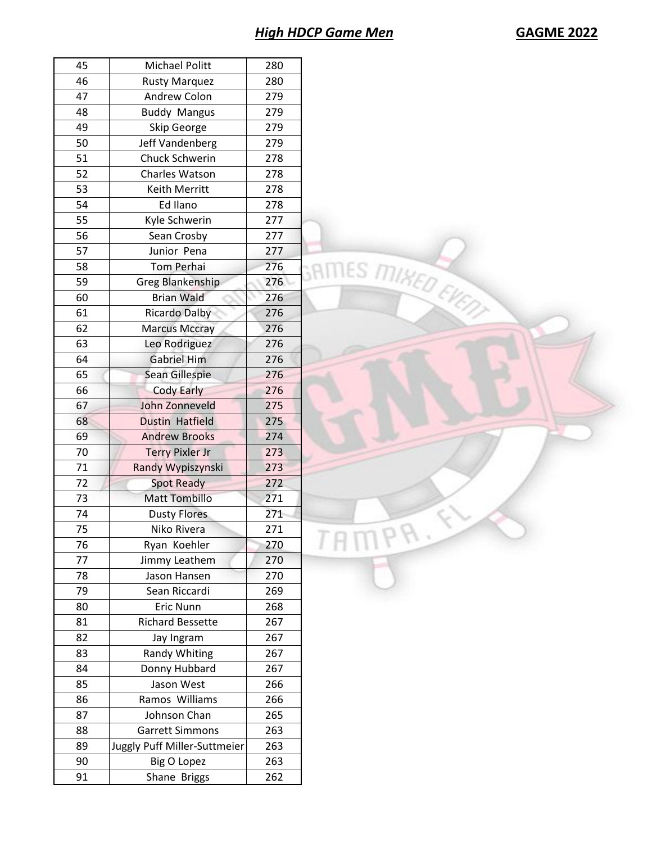# *High HDCP Game Men* **GAGME 2022**

| 45 | Michael Politt               | 280 |
|----|------------------------------|-----|
| 46 | <b>Rusty Marquez</b>         | 280 |
| 47 | Andrew Colon                 | 279 |
| 48 | <b>Buddy Mangus</b>          | 279 |
| 49 | Skip George                  | 279 |
| 50 | Jeff Vandenberg              | 279 |
| 51 | Chuck Schwerin               | 278 |
| 52 | <b>Charles Watson</b>        | 278 |
| 53 | Keith Merritt                | 278 |
| 54 | Ed Ilano                     | 278 |
| 55 | Kyle Schwerin                | 277 |
| 56 | Sean Crosby                  | 277 |
| 57 | Junior Pena                  | 277 |
| 58 | <b>Tom Perhai</b>            | 276 |
| 59 | <b>Greg Blankenship</b>      | 276 |
| 60 | <b>Brian Wald</b>            | 276 |
| 61 | <b>Ricardo Dalby</b>         | 276 |
| 62 |                              | 276 |
|    | <b>Marcus Mccray</b>         |     |
| 63 | Leo Rodriguez                | 276 |
| 64 | <b>Gabriel Him</b>           | 276 |
| 65 | Sean Gillespie               | 276 |
| 66 | <b>Cody Early</b>            | 276 |
| 67 | John Zonneveld               | 275 |
| 68 | Dustin Hatfield              | 275 |
| 69 | <b>Andrew Brooks</b>         | 274 |
| 70 | <b>Terry Pixler Jr</b>       | 273 |
| 71 | Randy Wypiszynski            | 273 |
| 72 | <b>Spot Ready</b>            | 272 |
| 73 | <b>Matt Tombillo</b>         | 271 |
| 74 | <b>Dusty Flores</b>          | 271 |
| 75 | Niko Rivera                  | 271 |
| 76 | Ryan Koehler                 | 270 |
| 77 | Jimmy Leathem                | 270 |
| 78 | Jason Hansen                 | 270 |
| 79 | Sean Riccardi                | 269 |
| 80 | Eric Nunn                    | 268 |
| 81 | <b>Richard Bessette</b>      | 267 |
| 82 | Jay Ingram                   | 267 |
| 83 | Randy Whiting                | 267 |
| 84 | Donny Hubbard                | 267 |
| 85 | Jason West                   | 266 |
| 86 | Ramos Williams               | 266 |
| 87 | Johnson Chan                 | 265 |
|    |                              |     |
| 88 | <b>Garrett Simmons</b>       | 263 |
| 89 | Juggly Puff Miller-Suttmeier | 263 |
| 90 | <b>Big O Lopez</b>           | 263 |
| 91 | Shane Briggs                 | 262 |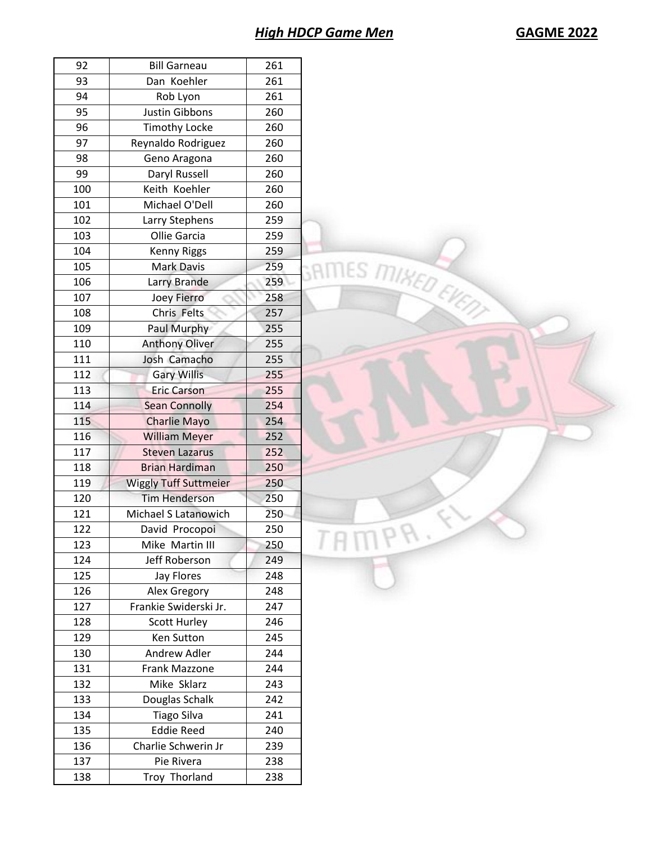# **High HDCP Game Men**

| 92  | <b>Bill Garneau</b>          | 261 |
|-----|------------------------------|-----|
| 93  | Dan Koehler                  | 261 |
| 94  | Rob Lyon                     | 261 |
| 95  | Justin Gibbons               | 260 |
| 96  | <b>Timothy Locke</b>         | 260 |
| 97  | Reynaldo Rodriguez           | 260 |
| 98  | Geno Aragona                 | 260 |
| 99  | Daryl Russell                | 260 |
| 100 | Keith Koehler                | 260 |
| 101 | Michael O'Dell               | 260 |
| 102 | Larry Stephens               | 259 |
| 103 | Ollie Garcia                 | 259 |
| 104 | <b>Kenny Riggs</b>           | 259 |
| 105 | <b>Mark Davis</b>            | 259 |
| 106 | Larry Brande                 | 259 |
| 107 | <b>Joey Fierro</b>           | 258 |
| 108 | Chris Felts                  | 257 |
| 109 | Paul Murphy                  | 255 |
| 110 | <b>Anthony Oliver</b>        | 255 |
| 111 | Josh Camacho                 | 255 |
| 112 | <b>Gary Willis</b>           | 255 |
| 113 | <b>Eric Carson</b>           | 255 |
| 114 | <b>Sean Connolly</b>         | 254 |
| 115 | Charlie Mayo                 | 254 |
| 116 | <b>William Meyer</b>         | 252 |
| 117 | <b>Steven Lazarus</b>        | 252 |
| 118 | <b>Brian Hardiman</b>        | 250 |
| 119 | <b>Wiggly Tuff Suttmeier</b> | 250 |
| 120 | <b>Tim Henderson</b>         | 250 |
| 121 | Michael S Latanowich         | 250 |
|     |                              |     |
| 122 | David Procopoi               | 250 |
| 123 | Mike Martin III              | 250 |
| 124 | Jeff Roberson                | 249 |
| 125 | Jay Flores                   | 248 |
| 126 | Alex Gregory                 | 248 |
| 127 | Frankie Swiderski Jr.        | 247 |
| 128 | <b>Scott Hurley</b>          | 246 |
| 129 | Ken Sutton                   | 245 |
| 130 | Andrew Adler                 | 244 |
| 131 | Frank Mazzone                | 244 |
| 132 | Mike Sklarz                  | 243 |
| 133 | Douglas Schalk               | 242 |
| 134 | <b>Tiago Silva</b>           | 241 |
| 135 | <b>Eddie Reed</b>            | 240 |
| 136 | Charlie Schwerin Jr          | 239 |
| 137 | Pie Rivera                   | 238 |
| 138 | Troy Thorland                | 238 |
|     |                              |     |